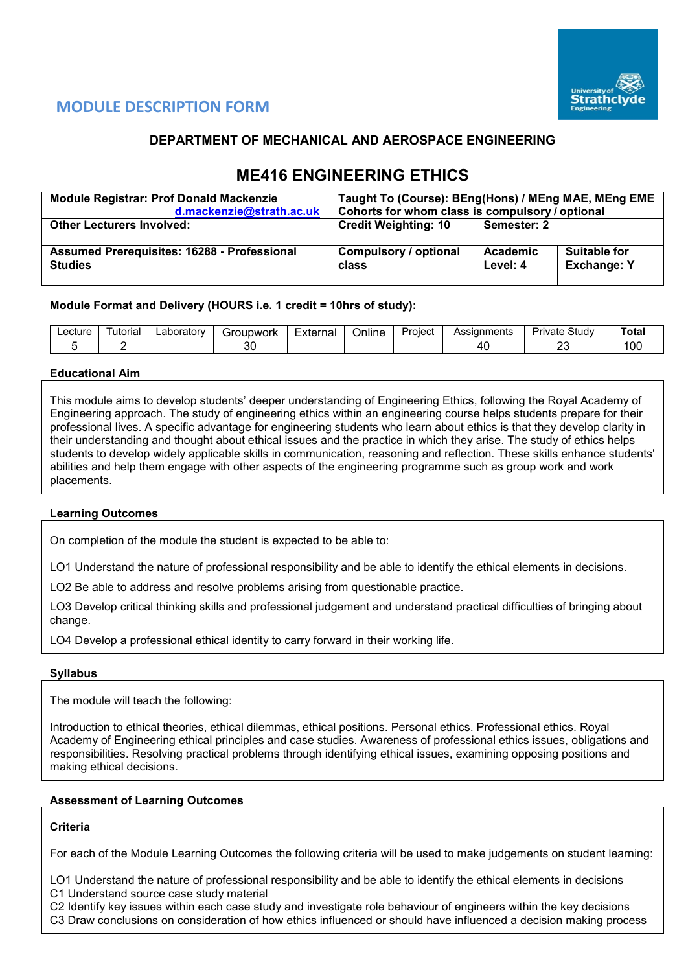

# **MODULE DESCRIPTION FORM**

# **DEPARTMENT OF MECHANICAL AND AEROSPACE ENGINEERING**

# **ME416 ENGINEERING ETHICS**

| <b>Module Registrar: Prof Donald Mackenzie</b>                       | Taught To (Course): BEng(Hons) / MEng MAE, MEng EME |                      |                                           |  |  |  |  |
|----------------------------------------------------------------------|-----------------------------------------------------|----------------------|-------------------------------------------|--|--|--|--|
| d.mackenzie@strath.ac.uk                                             | Cohorts for whom class is compulsory / optional     |                      |                                           |  |  |  |  |
| <b>Other Lecturers Involved:</b>                                     | <b>Credit Weighting: 10</b>                         | Semester: 2          |                                           |  |  |  |  |
|                                                                      |                                                     |                      |                                           |  |  |  |  |
| <b>Assumed Prerequisites: 16288 - Professional</b><br><b>Studies</b> | Compulsory / optional<br>class                      | Academic<br>Level: 4 | <b>Suitable for</b><br><b>Exchange: Y</b> |  |  |  |  |

## **Module Format and Delivery (HOURS i.e. 1 credit = 10hrs of study):**

| ∟ecture | utorıal | ∟aboratorv | iroupwork | Externa | . .<br>)nlıne | Project | Assianments | Study<br>میرو د<br>'ivate | ัota |
|---------|---------|------------|-----------|---------|---------------|---------|-------------|---------------------------|------|
|         |         |            | or<br>υc  |         |               |         |             | $\sim$<br>$-$             | 100  |

## **Educational Aim**

This module aims to develop students' deeper understanding of Engineering Ethics, following the Royal Academy of Engineering approach. The study of engineering ethics within an engineering course helps students prepare for their professional lives. A specific advantage for engineering students who learn about ethics is that they develop clarity in their understanding and thought about ethical issues and the practice in which they arise. The study of ethics helps students to develop widely applicable skills in communication, reasoning and reflection. These skills enhance students' abilities and help them engage with other aspects of the engineering programme such as group work and work placements.

## **Learning Outcomes**

On completion of the module the student is expected to be able to:

LO1 Understand the nature of professional responsibility and be able to identify the ethical elements in decisions.

LO2 Be able to address and resolve problems arising from questionable practice.

LO3 Develop critical thinking skills and professional judgement and understand practical difficulties of bringing about change.

LO4 Develop a professional ethical identity to carry forward in their working life.

## **Syllabus**

The module will teach the following:

Introduction to ethical theories, ethical dilemmas, ethical positions. Personal ethics. Professional ethics. Royal Academy of Engineering ethical principles and case studies. Awareness of professional ethics issues, obligations and responsibilities. Resolving practical problems through identifying ethical issues, examining opposing positions and making ethical decisions.

## **Assessment of Learning Outcomes**

## **Criteria**

For each of the Module Learning Outcomes the following criteria will be used to make judgements on student learning:

LO1 Understand the nature of professional responsibility and be able to identify the ethical elements in decisions C1 Understand source case study material

C2 Identify key issues within each case study and investigate role behaviour of engineers within the key decisions

C3 Draw conclusions on consideration of how ethics influenced or should have influenced a decision making process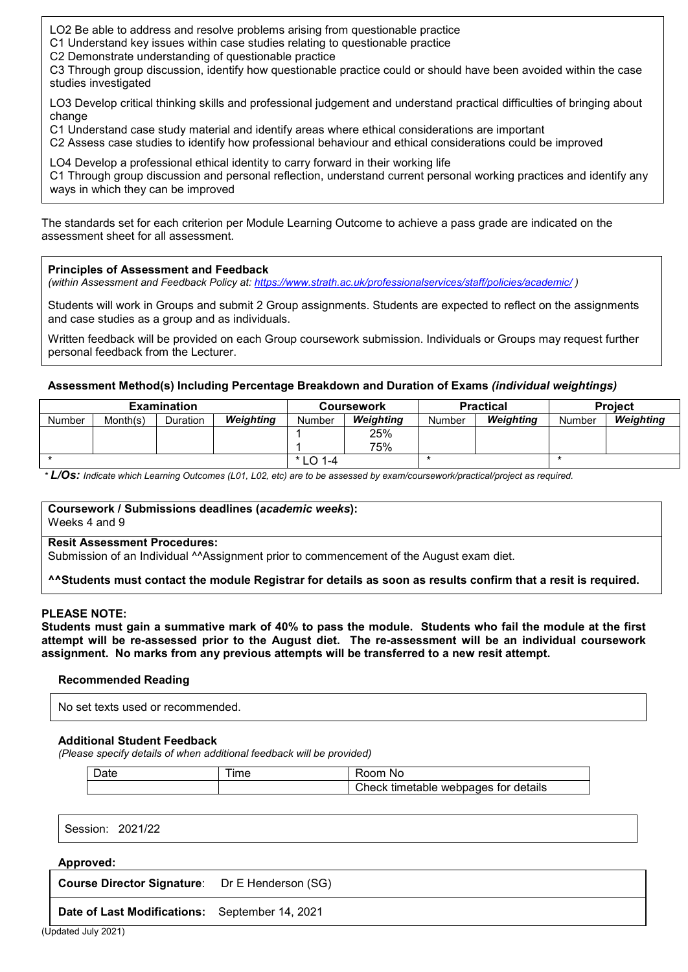LO2 Be able to address and resolve problems arising from questionable practice

- C1 Understand key issues within case studies relating to questionable practice
- C2 Demonstrate understanding of questionable practice

C3 Through group discussion, identify how questionable practice could or should have been avoided within the case studies investigated

LO3 Develop critical thinking skills and professional judgement and understand practical difficulties of bringing about change

C1 Understand case study material and identify areas where ethical considerations are important

C2 Assess case studies to identify how professional behaviour and ethical considerations could be improved

LO4 Develop a professional ethical identity to carry forward in their working life

C1 Through group discussion and personal reflection, understand current personal working practices and identify any ways in which they can be improved

The standards set for each criterion per Module Learning Outcome to achieve a pass grade are indicated on the assessment sheet for all assessment.

#### **Principles of Assessment and Feedback**

*(within Assessment and Feedback Policy at: <https://www.strath.ac.uk/professionalservices/staff/policies/academic/> )*

Students will work in Groups and submit 2 Group assignments. Students are expected to reflect on the assignments and case studies as a group and as individuals.

Written feedback will be provided on each Group coursework submission. Individuals or Groups may request further personal feedback from the Lecturer.

#### **Assessment Method(s) Including Percentage Breakdown and Duration of Exams** *(individual weightings)*

|               |          | <b>Examination</b> |                  |            | <b>Coursework</b> |        | <b>Practical</b> | <b>Project</b> |           |
|---------------|----------|--------------------|------------------|------------|-------------------|--------|------------------|----------------|-----------|
| <b>Number</b> | Month(s) | <b>Duration</b>    | <b>Weighting</b> | Number     | Weighting         | Number | Weighting        | Number         | Weighting |
|               |          |                    |                  |            | 25%               |        |                  |                |           |
|               |          |                    |                  |            | 75%               |        |                  |                |           |
|               |          |                    |                  | $*$ LO 1-4 |                   |        |                  |                |           |

*\* L/Os: Indicate which Learning Outcomes (L01, L02, etc) are to be assessed by exam/coursework/practical/project as required.*

#### **Coursework / Submissions deadlines (***academic weeks***):** Weeks 4 and 9

#### **Resit Assessment Procedures:**

Submission of an Individual ^^Assignment prior to commencement of the August exam diet.

**^^Students must contact the module Registrar for details as soon as results confirm that a resit is required.**

#### **PLEASE NOTE:**

**Students must gain a summative mark of 40% to pass the module. Students who fail the module at the first attempt will be re-assessed prior to the August diet. The re-assessment will be an individual coursework assignment. No marks from any previous attempts will be transferred to a new resit attempt.**

#### **Recommended Reading**

No set texts used or recommended.

#### **Additional Student Feedback**

*(Please specify details of when additional feedback will be provided)*

| Date | ime | ಗ00m<br>No                                |
|------|-----|-------------------------------------------|
|      |     | Check timetable<br>webpages for details » |

Session: 2021/22

#### **Approved:**

**Course Director Signature**: Dr E Henderson (SG)

**Date of Last Modifications:** September 14, 2021